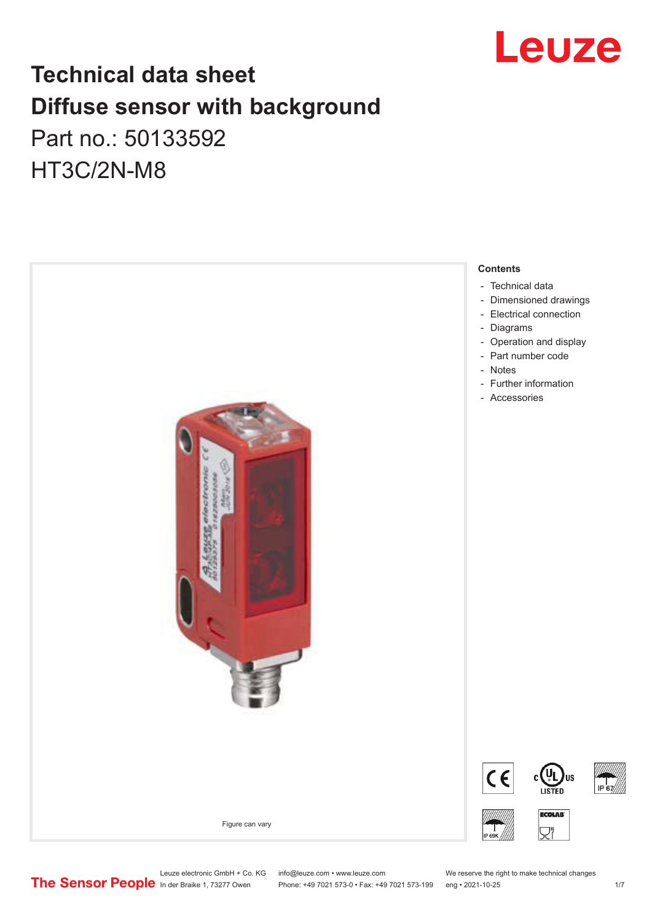

# **Technical data sheet Diffuse sensor with background**  Part no.: 50133592 HT3C/2N-M8



Leuze electronic GmbH + Co. KG info@leuze.com • www.leuze.com We reserve the right to make technical changes<br>
The Sensor People in der Braike 1, 73277 Owen Phone: +49 7021 573-0 • Fax: +49 7021 573-199 eng • 2021-10-25

Phone: +49 7021 573-0 • Fax: +49 7021 573-199 eng • 2021-10-25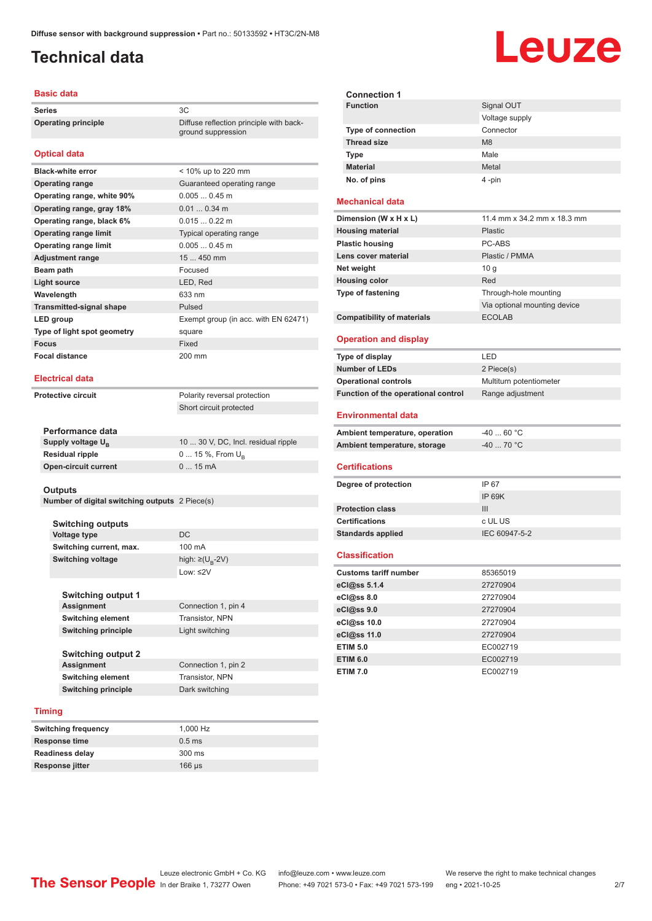# <span id="page-1-0"></span>**Technical data**

## **Basic data**

**Series** 3C **Operating principle** Diffuse reflection principle with back-

## **Optical data**

| <b>Black-white error</b>        | $<$ 10% up to 220 mm                 |
|---------------------------------|--------------------------------------|
| <b>Operating range</b>          | Guaranteed operating range           |
| Operating range, white 90%      | $0.0050.45$ m                        |
| Operating range, gray 18%       | $0.010.34$ m                         |
| Operating range, black 6%       | $0.0150.22$ m                        |
| <b>Operating range limit</b>    | Typical operating range              |
| <b>Operating range limit</b>    | $0.0050.45$ m                        |
| <b>Adjustment range</b>         | $15450$ mm                           |
| Beam path                       | Focused                              |
| Light source                    | LED, Red                             |
| Wavelength                      | 633 nm                               |
| <b>Transmitted-signal shape</b> | Pulsed                               |
| LED group                       | Exempt group (in acc. with EN 62471) |
| Type of light spot geometry     | square                               |
| <b>Focus</b>                    | Fixed                                |
| <b>Focal distance</b>           | 200 mm                               |

## **Electrical data**

**Protective circuit** Polarity reversal protection

Short circuit protected

ground suppression

| Performance data              |                                     |
|-------------------------------|-------------------------------------|
| Supply voltage U <sub>n</sub> | 10  30 V, DC, Incl. residual ripple |
| Residual ripple               | $0 15 \%$ , From $U_{p}$            |
| Open-circuit current          | $015$ mA                            |
|                               |                                     |

#### **Outputs**

**Number of digital switching outputs** 2 Piece(s)

| <b>Switching outputs</b> |                                   |
|--------------------------|-----------------------------------|
| Voltage type             | DC                                |
| Switching current, max.  | 100 mA                            |
| Switching voltage        | high: $\geq$ (U <sub>p</sub> -2V) |
|                          | Low: ≤2 $V$                       |

| <b>Switching output 1</b>  |                     |
|----------------------------|---------------------|
| <b>Assignment</b>          | Connection 1, pin 4 |
| <b>Switching element</b>   | Transistor, NPN     |
| <b>Switching principle</b> | Light switching     |
| <b>Switching output 2</b>  |                     |

**Assignment** Connection 1, pin 2 **Switching element** Transistor, NPN **Switching principle** Dark switching

### **Timing**

| <b>Switching frequency</b> | 1.000 Hz         |
|----------------------------|------------------|
| <b>Response time</b>       | $0.5$ ms         |
| <b>Readiness delay</b>     | $300 \text{ ms}$ |
| <b>Response jitter</b>     | $166$ us         |

| <b>Connection 1</b>       |                |
|---------------------------|----------------|
| <b>Function</b>           | Signal OUT     |
|                           | Voltage supply |
| <b>Type of connection</b> | Connector      |
| <b>Thread size</b>        | M <sub>8</sub> |
| <b>Type</b>               | Male           |
| <b>Material</b>           | Metal          |
| No. of pins               | 4 -pin         |

## **Mechanical data**

| Dimension (W x H x L)             | 11.4 mm x 34.2 mm x 18.3 mm  |
|-----------------------------------|------------------------------|
| <b>Housing material</b>           | Plastic                      |
| <b>Plastic housing</b>            | PC-ABS                       |
| Lens cover material               | Plastic / PMMA               |
| Net weight                        | 10 q                         |
| <b>Housing color</b>              | Red                          |
| <b>Type of fastening</b>          | Through-hole mounting        |
|                                   | Via optional mounting device |
| <b>Compatibility of materials</b> | <b>ECOLAB</b>                |

### **Operation and display**

| Type of display                     | I FD.                   |
|-------------------------------------|-------------------------|
| <b>Number of LEDs</b>               | 2 Piece(s)              |
| <b>Operational controls</b>         | Multiturn potentiometer |
| Function of the operational control | Range adjustment        |

### **Environmental data**

| Ambient temperature, operation | -40  60 °C |
|--------------------------------|------------|
| Ambient temperature, storage   | -40  70 °C |

### **Certifications**

| Degree of protection     | IP 67         |
|--------------------------|---------------|
|                          | IP 69K        |
| <b>Protection class</b>  | Ш             |
| <b>Certifications</b>    | c UL US       |
| <b>Standards applied</b> | IEC 60947-5-2 |
|                          |               |

### **Classification**

| <b>Customs tariff number</b> | 85365019 |
|------------------------------|----------|
| eCl@ss 5.1.4                 | 27270904 |
| $eC/\omega$ ss 8.0           | 27270904 |
| eCl@ss 9.0                   | 27270904 |
| eCl@ss 10.0                  | 27270904 |
| eCl@ss 11.0                  | 27270904 |
| <b>ETIM 5.0</b>              | EC002719 |
| <b>ETIM 6.0</b>              | EC002719 |
| <b>ETIM 7.0</b>              | EC002719 |

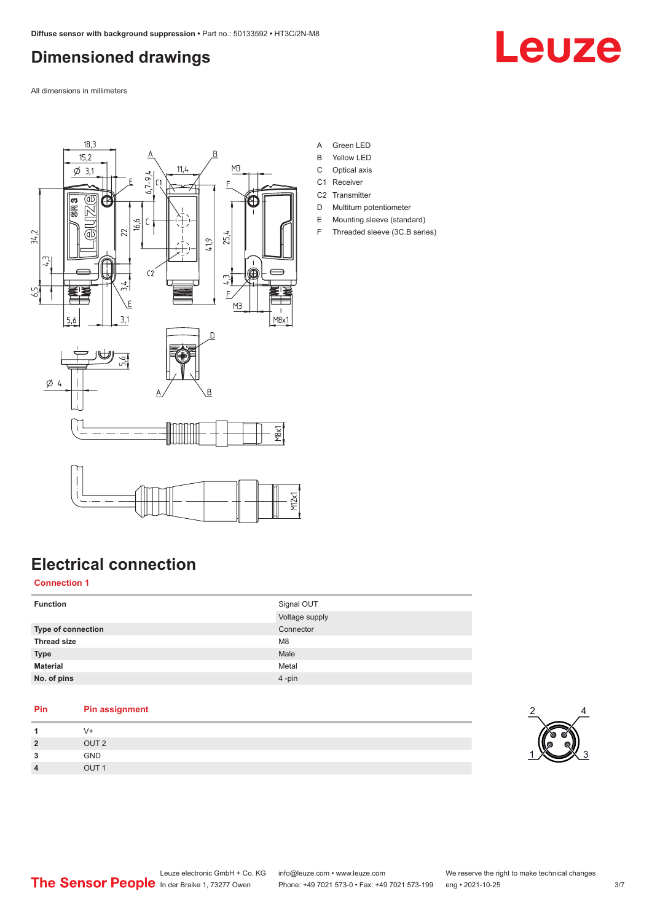# <span id="page-2-0"></span>**Dimensioned drawings**

Leuze

All dimensions in millimeters



- A Green LED
- B Yellow LED
- C Optical axis
- C1 Receiver
- C<sub>2</sub> Transmitter D Multiturn potentiometer
- E Mounting sleeve (standard)
- F Threaded sleeve (3C.B series)

# **Electrical connection**

## **Connection 1**

| <b>Function</b>    | Signal OUT<br>Voltage supply |
|--------------------|------------------------------|
| Type of connection | Connector                    |
| <b>Thread size</b> | M <sub>8</sub>               |
| <b>Type</b>        | Male                         |
| <b>Material</b>    | Metal                        |
| No. of pins        | $4 - pin$                    |

## **Pin Pin assignment**

| $\overline{ }$ | V+               |
|----------------|------------------|
| $\overline{2}$ | OUT <sub>2</sub> |
| 3              | GND              |
| $\overline{4}$ | OUT <sub>1</sub> |

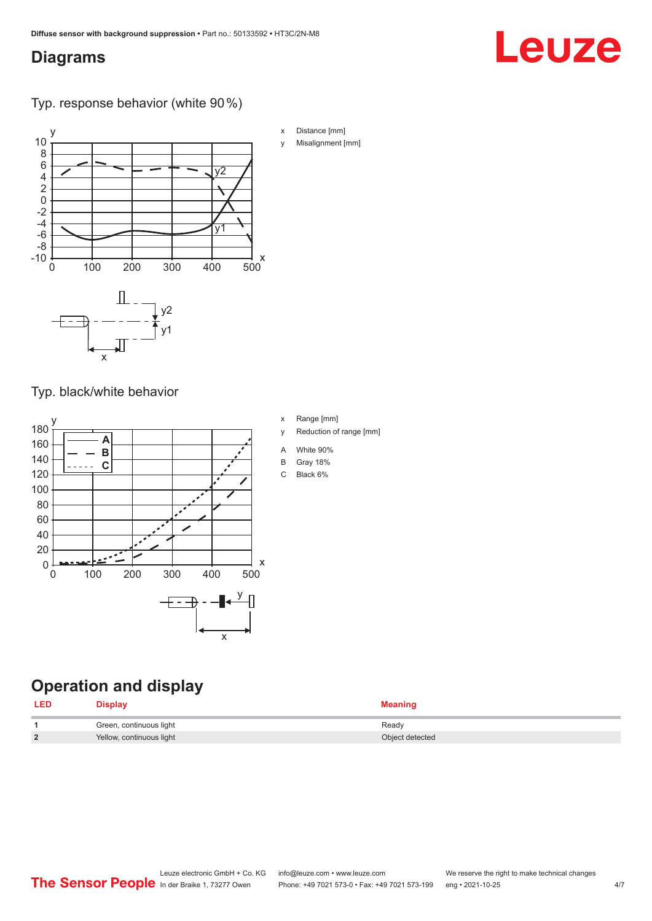# <span id="page-3-0"></span>**Diagrams**

# Leuze

Typ. response behavior (white 90 %)



Typ. black/white behavior



# **Operation and display**

| <b>LED</b> | Display                  | <b>Meaning</b>  |
|------------|--------------------------|-----------------|
|            | Green, continuous light  | Ready           |
|            | Yellow, continuous light | Object detected |

x Range [mm]

- y Reduction of range [mm]
- A White 90%
- B Gray 18%
- C Black 6%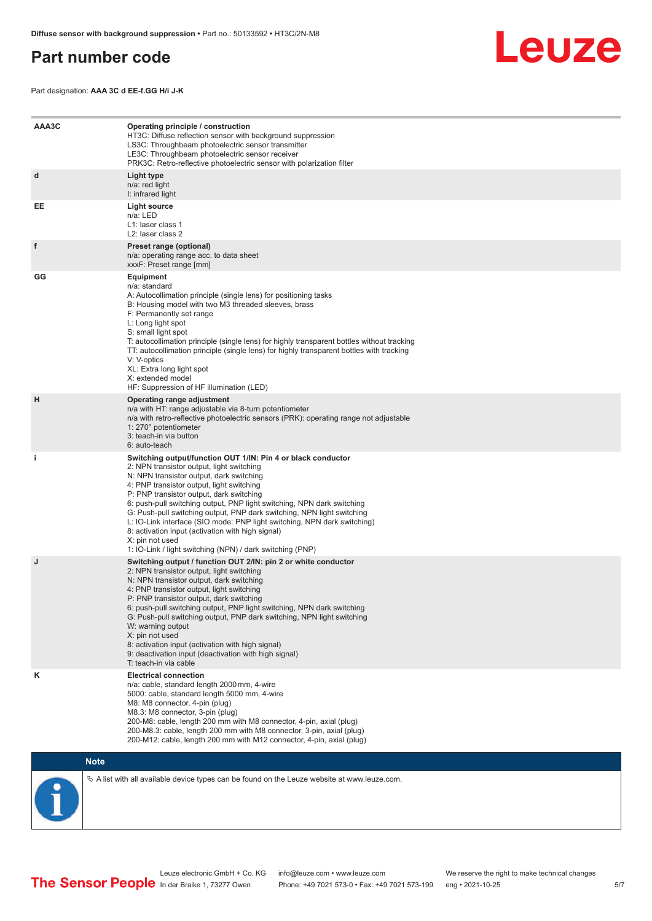## <span id="page-4-0"></span>**Part number code**



Part designation: **AAA 3C d EE-f.GG H/i J-K**

| AAA3C | Operating principle / construction<br>HT3C: Diffuse reflection sensor with background suppression<br>LS3C: Throughbeam photoelectric sensor transmitter<br>LE3C: Throughbeam photoelectric sensor receiver<br>PRK3C: Retro-reflective photoelectric sensor with polarization filter                                                                                                                                                                                                                                                                                                                                 |
|-------|---------------------------------------------------------------------------------------------------------------------------------------------------------------------------------------------------------------------------------------------------------------------------------------------------------------------------------------------------------------------------------------------------------------------------------------------------------------------------------------------------------------------------------------------------------------------------------------------------------------------|
| d     | Light type<br>n/a: red light<br>I: infrared light                                                                                                                                                                                                                                                                                                                                                                                                                                                                                                                                                                   |
| EE    | Light source<br>n/a: LED<br>L1: laser class 1<br>L2: laser class 2                                                                                                                                                                                                                                                                                                                                                                                                                                                                                                                                                  |
| f     | Preset range (optional)<br>n/a: operating range acc. to data sheet<br>xxxF: Preset range [mm]                                                                                                                                                                                                                                                                                                                                                                                                                                                                                                                       |
| GG    | <b>Equipment</b><br>n/a: standard<br>A: Autocollimation principle (single lens) for positioning tasks<br>B: Housing model with two M3 threaded sleeves, brass<br>F: Permanently set range<br>L: Long light spot<br>S: small light spot<br>T: autocollimation principle (single lens) for highly transparent bottles without tracking<br>TT: autocollimation principle (single lens) for highly transparent bottles with tracking<br>V: V-optics<br>XL: Extra long light spot<br>X: extended model<br>HF: Suppression of HF illumination (LED)                                                                       |
| н     | Operating range adjustment<br>n/a with HT: range adjustable via 8-turn potentiometer<br>n/a with retro-reflective photoelectric sensors (PRK): operating range not adjustable<br>1: 270° potentiometer<br>3: teach-in via button<br>6: auto-teach                                                                                                                                                                                                                                                                                                                                                                   |
| j.    | Switching output/function OUT 1/IN: Pin 4 or black conductor<br>2: NPN transistor output, light switching<br>N: NPN transistor output, dark switching<br>4: PNP transistor output, light switching<br>P: PNP transistor output, dark switching<br>6: push-pull switching output, PNP light switching, NPN dark switching<br>G: Push-pull switching output, PNP dark switching, NPN light switching<br>L: IO-Link interface (SIO mode: PNP light switching, NPN dark switching)<br>8: activation input (activation with high signal)<br>X: pin not used<br>1: IO-Link / light switching (NPN) / dark switching (PNP) |
| J     | Switching output / function OUT 2/IN: pin 2 or white conductor<br>2: NPN transistor output, light switching<br>N: NPN transistor output, dark switching<br>4: PNP transistor output, light switching<br>P: PNP transistor output, dark switching<br>6: push-pull switching output, PNP light switching, NPN dark switching<br>G: Push-pull switching output, PNP dark switching, NPN light switching<br>W: warning output<br>X: pin not used<br>8: activation input (activation with high signal)<br>9: deactivation input (deactivation with high signal)<br>T: teach-in via cable                                 |
| κ     | <b>Electrical connection</b><br>n/a: cable, standard length 2000 mm, 4-wire<br>5000: cable, standard length 5000 mm, 4-wire<br>M8: M8 connector, 4-pin (plug)<br>M8.3: M8 connector, 3-pin (plug)<br>200-M8: cable, length 200 mm with M8 connector, 4-pin, axial (plug)<br>200-M8.3: cable, length 200 mm with M8 connector, 3-pin, axial (plug)<br>200-M12: cable, length 200 mm with M12 connector, 4-pin, axial (plug)                                                                                                                                                                                          |

## **Note**

 $\%$  A list with all available device types can be found on the Leuze website at www.leuze.com.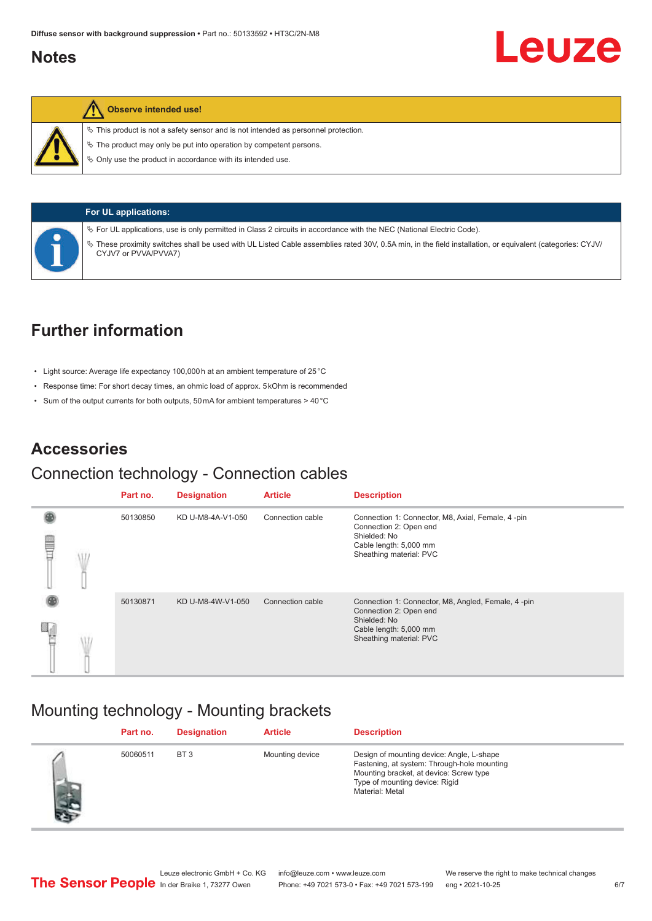## <span id="page-5-0"></span>**Notes**

## **Observe intended use!**

 $\%$  This product is not a safety sensor and is not intended as personnel protection.

 $\ddot{\phi}$  The product may only be put into operation by competent persons.

 $\%$  Only use the product in accordance with its intended use.



**For UL applications:**

ª For UL applications, use is only permitted in Class 2 circuits in accordance with the NEC (National Electric Code).

ª These proximity switches shall be used with UL Listed Cable assemblies rated 30V, 0.5A min, in the field installation, or equivalent (categories: CYJV/ CYJV7 or PVVA/PVVA7)

# **Further information**

- Light source: Average life expectancy 100,000 h at an ambient temperature of 25 °C
- Response time: For short decay times, an ohmic load of approx. 5 kOhm is recommended
- Sum of the output currents for both outputs, 50 mA for ambient temperatures > 40 °C

# **Accessories**

## Connection technology - Connection cables

|   | Part no. | <b>Designation</b> | <b>Article</b>   | <b>Description</b>                                                                                                                                |
|---|----------|--------------------|------------------|---------------------------------------------------------------------------------------------------------------------------------------------------|
| ▤ | 50130850 | KD U-M8-4A-V1-050  | Connection cable | Connection 1: Connector, M8, Axial, Female, 4-pin<br>Connection 2: Open end<br>Shielded: No<br>Cable length: 5,000 mm<br>Sheathing material: PVC  |
|   | 50130871 | KD U-M8-4W-V1-050  | Connection cable | Connection 1: Connector, M8, Angled, Female, 4-pin<br>Connection 2: Open end<br>Shielded: No<br>Cable length: 5,000 mm<br>Sheathing material: PVC |

# Mounting technology - Mounting brackets

|     | Part no. | <b>Designation</b> | <b>Article</b>  | <b>Description</b>                                                                                                                                                                       |
|-----|----------|--------------------|-----------------|------------------------------------------------------------------------------------------------------------------------------------------------------------------------------------------|
| f A | 50060511 | BT <sub>3</sub>    | Mounting device | Design of mounting device: Angle, L-shape<br>Fastening, at system: Through-hole mounting<br>Mounting bracket, at device: Screw type<br>Type of mounting device: Rigid<br>Material: Metal |

Leuze